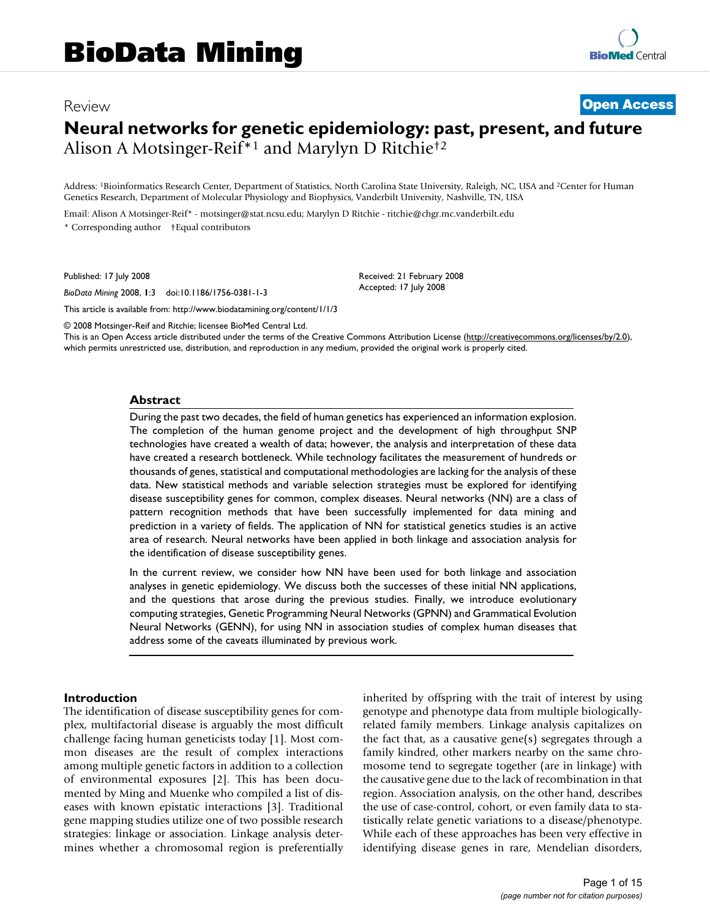# Review **[Open Access](http://www.biomedcentral.com/info/about/charter/) Neural networks for genetic epidemiology: past, present, and future** Alison A Motsinger-Reif\*1 and Marylyn D Ritchie†2

Address: 1Bioinformatics Research Center, Department of Statistics, North Carolina State University, Raleigh, NC, USA and 2Center for Human Genetics Research, Department of Molecular Physiology and Biophysics, Vanderbilt University, Nashville, TN, USA

Email: Alison A Motsinger-Reif\* - motsinger@stat.ncsu.edu; Marylyn D Ritchie - ritchie@chgr.mc.vanderbilt.edu \* Corresponding author †Equal contributors

Published: 17 July 2008

*BioData Mining* 2008, **1**:3 doi:10.1186/1756-0381-1-3

[This article is available from: http://www.biodatamining.org/content/1/1/3](http://www.biodatamining.org/content/1/1/3)

© 2008 Motsinger-Reif and Ritchie; licensee BioMed Central Ltd.

This is an Open Access article distributed under the terms of the Creative Commons Attribution License [\(http://creativecommons.org/licenses/by/2.0\)](http://creativecommons.org/licenses/by/2.0), which permits unrestricted use, distribution, and reproduction in any medium, provided the original work is properly cited.

Received: 21 February 2008 Accepted: 17 July 2008

#### **Abstract**

During the past two decades, the field of human genetics has experienced an information explosion. The completion of the human genome project and the development of high throughput SNP technologies have created a wealth of data; however, the analysis and interpretation of these data have created a research bottleneck. While technology facilitates the measurement of hundreds or thousands of genes, statistical and computational methodologies are lacking for the analysis of these data. New statistical methods and variable selection strategies must be explored for identifying disease susceptibility genes for common, complex diseases. Neural networks (NN) are a class of pattern recognition methods that have been successfully implemented for data mining and prediction in a variety of fields. The application of NN for statistical genetics studies is an active area of research. Neural networks have been applied in both linkage and association analysis for the identification of disease susceptibility genes.

In the current review, we consider how NN have been used for both linkage and association analyses in genetic epidemiology. We discuss both the successes of these initial NN applications, and the questions that arose during the previous studies. Finally, we introduce evolutionary computing strategies, Genetic Programming Neural Networks (GPNN) and Grammatical Evolution Neural Networks (GENN), for using NN in association studies of complex human diseases that address some of the caveats illuminated by previous work.

#### **Introduction**

The identification of disease susceptibility genes for complex, multifactorial disease is arguably the most difficult challenge facing human geneticists today [1]. Most common diseases are the result of complex interactions among multiple genetic factors in addition to a collection of environmental exposures [2]. This has been documented by Ming and Muenke who compiled a list of diseases with known epistatic interactions [3]. Traditional gene mapping studies utilize one of two possible research strategies: linkage or association. Linkage analysis determines whether a chromosomal region is preferentially inherited by offspring with the trait of interest by using genotype and phenotype data from multiple biologicallyrelated family members. Linkage analysis capitalizes on the fact that, as a causative gene(s) segregates through a family kindred, other markers nearby on the same chromosome tend to segregate together (are in linkage) with the causative gene due to the lack of recombination in that region. Association analysis, on the other hand, describes the use of case-control, cohort, or even family data to statistically relate genetic variations to a disease/phenotype. While each of these approaches has been very effective in identifying disease genes in rare, Mendelian disorders,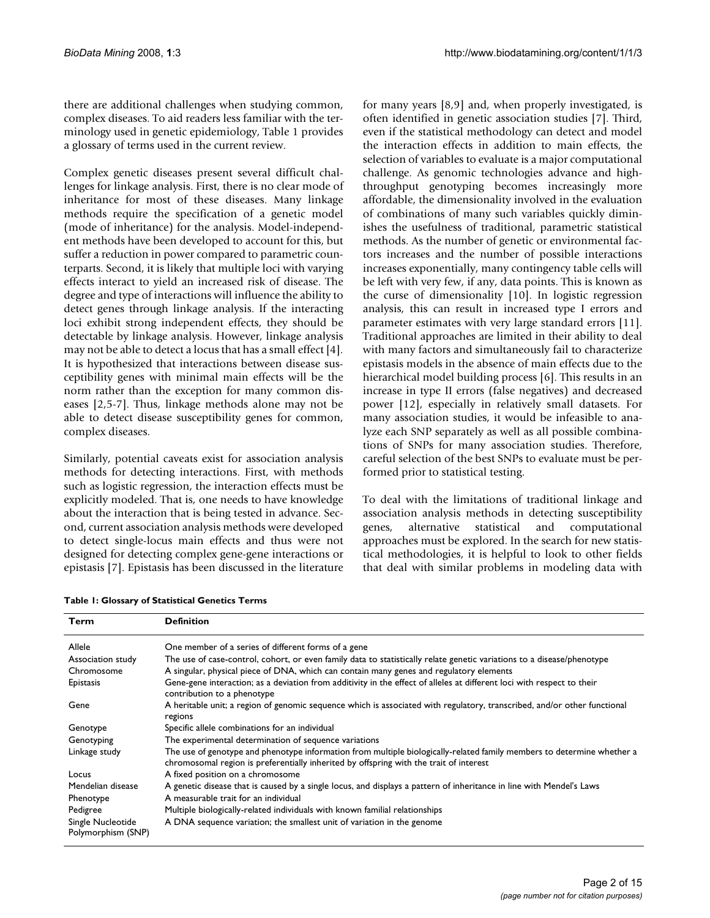there are additional challenges when studying common, complex diseases. To aid readers less familiar with the terminology used in genetic epidemiology, Table 1 provides a glossary of terms used in the current review.

Complex genetic diseases present several difficult challenges for linkage analysis. First, there is no clear mode of inheritance for most of these diseases. Many linkage methods require the specification of a genetic model (mode of inheritance) for the analysis. Model-independent methods have been developed to account for this, but suffer a reduction in power compared to parametric counterparts. Second, it is likely that multiple loci with varying effects interact to yield an increased risk of disease. The degree and type of interactions will influence the ability to detect genes through linkage analysis. If the interacting loci exhibit strong independent effects, they should be detectable by linkage analysis. However, linkage analysis may not be able to detect a locus that has a small effect [4]. It is hypothesized that interactions between disease susceptibility genes with minimal main effects will be the norm rather than the exception for many common diseases [2,5-7]. Thus, linkage methods alone may not be able to detect disease susceptibility genes for common, complex diseases.

Similarly, potential caveats exist for association analysis methods for detecting interactions. First, with methods such as logistic regression, the interaction effects must be explicitly modeled. That is, one needs to have knowledge about the interaction that is being tested in advance. Second, current association analysis methods were developed to detect single-locus main effects and thus were not designed for detecting complex gene-gene interactions or epistasis [7]. Epistasis has been discussed in the literature for many years [8,9] and, when properly investigated, is often identified in genetic association studies [7]. Third, even if the statistical methodology can detect and model the interaction effects in addition to main effects, the selection of variables to evaluate is a major computational challenge. As genomic technologies advance and highthroughput genotyping becomes increasingly more affordable, the dimensionality involved in the evaluation of combinations of many such variables quickly diminishes the usefulness of traditional, parametric statistical methods. As the number of genetic or environmental factors increases and the number of possible interactions increases exponentially, many contingency table cells will be left with very few, if any, data points. This is known as the curse of dimensionality [10]. In logistic regression analysis, this can result in increased type I errors and parameter estimates with very large standard errors [11]. Traditional approaches are limited in their ability to deal with many factors and simultaneously fail to characterize epistasis models in the absence of main effects due to the hierarchical model building process [6]. This results in an increase in type II errors (false negatives) and decreased power [12], especially in relatively small datasets. For many association studies, it would be infeasible to analyze each SNP separately as well as all possible combinations of SNPs for many association studies. Therefore, careful selection of the best SNPs to evaluate must be performed prior to statistical testing.

To deal with the limitations of traditional linkage and association analysis methods in detecting susceptibility genes, alternative statistical and computational approaches must be explored. In the search for new statistical methodologies, it is helpful to look to other fields that deal with similar problems in modeling data with

| Term                                    | <b>Definition</b>                                                                                                                                                                                                |
|-----------------------------------------|------------------------------------------------------------------------------------------------------------------------------------------------------------------------------------------------------------------|
| Allele                                  | One member of a series of different forms of a gene                                                                                                                                                              |
| Association study                       | The use of case-control, cohort, or even family data to statistically relate genetic variations to a disease/phenotype                                                                                           |
| Chromosome                              | A singular, physical piece of DNA, which can contain many genes and regulatory elements                                                                                                                          |
| Epistasis                               | Gene-gene interaction; as a deviation from additivity in the effect of alleles at different loci with respect to their<br>contribution to a phenotype                                                            |
| Gene                                    | A heritable unit; a region of genomic sequence which is associated with regulatory, transcribed, and/or other functional<br>regions                                                                              |
| Genotype                                | Specific allele combinations for an individual                                                                                                                                                                   |
| Genotyping                              | The experimental determination of sequence variations                                                                                                                                                            |
| Linkage study                           | The use of genotype and phenotype information from multiple biologically-related family members to determine whether a<br>chromosomal region is preferentially inherited by offspring with the trait of interest |
| Locus                                   | A fixed position on a chromosome                                                                                                                                                                                 |
| Mendelian disease                       | A genetic disease that is caused by a single locus, and displays a pattern of inheritance in line with Mendel's Laws                                                                                             |
| Phenotype                               | A measurable trait for an individual                                                                                                                                                                             |
| Pedigree                                | Multiple biologically-related individuals with known familial relationships                                                                                                                                      |
| Single Nucleotide<br>Polymorphism (SNP) | A DNA sequence variation; the smallest unit of variation in the genome                                                                                                                                           |

| Table 1: Glossary of Statistical Genetics Terms |  |  |  |
|-------------------------------------------------|--|--|--|
|-------------------------------------------------|--|--|--|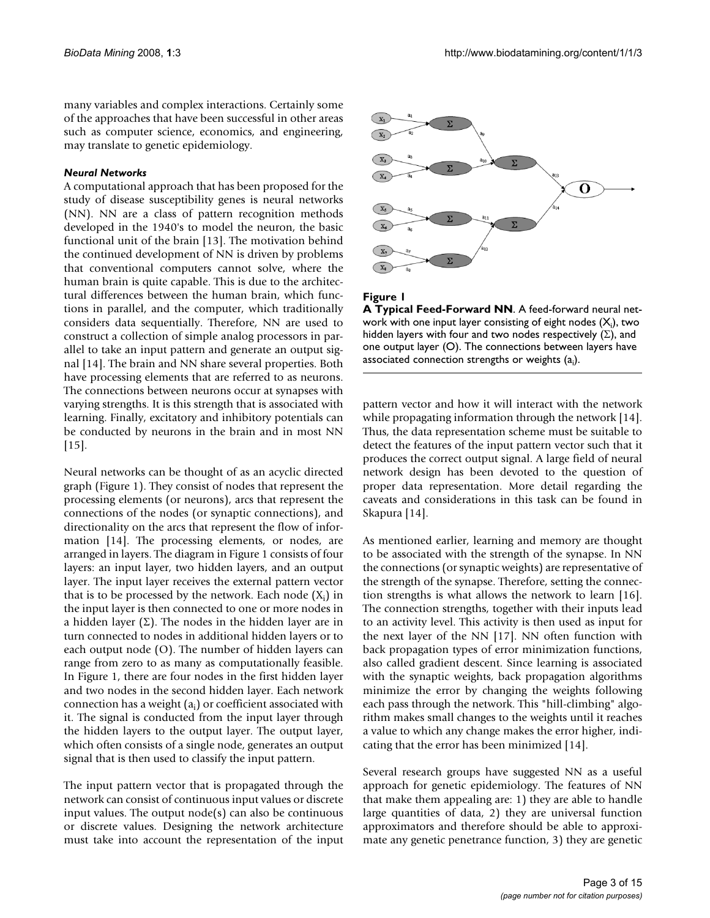many variables and complex interactions. Certainly some of the approaches that have been successful in other areas such as computer science, economics, and engineering, may translate to genetic epidemiology.

#### *Neural Networks*

A computational approach that has been proposed for the study of disease susceptibility genes is neural networks (NN). NN are a class of pattern recognition methods developed in the 1940's to model the neuron, the basic functional unit of the brain [13]. The motivation behind the continued development of NN is driven by problems that conventional computers cannot solve, where the human brain is quite capable. This is due to the architectural differences between the human brain, which functions in parallel, and the computer, which traditionally considers data sequentially. Therefore, NN are used to construct a collection of simple analog processors in parallel to take an input pattern and generate an output signal [14]. The brain and NN share several properties. Both have processing elements that are referred to as neurons. The connections between neurons occur at synapses with varying strengths. It is this strength that is associated with learning. Finally, excitatory and inhibitory potentials can be conducted by neurons in the brain and in most NN [15].

Neural networks can be thought of as an acyclic directed graph (Figure 1). They consist of nodes that represent the processing elements (or neurons), arcs that represent the connections of the nodes (or synaptic connections), and directionality on the arcs that represent the flow of information [14]. The processing elements, or nodes, are arranged in layers. The diagram in Figure 1 consists of four layers: an input layer, two hidden layers, and an output layer. The input layer receives the external pattern vector that is to be processed by the network. Each node  $(X_i)$  in the input layer is then connected to one or more nodes in a hidden layer  $(\Sigma)$ . The nodes in the hidden layer are in turn connected to nodes in additional hidden layers or to each output node (O). The number of hidden layers can range from zero to as many as computationally feasible. In Figure 1, there are four nodes in the first hidden layer and two nodes in the second hidden layer. Each network connection has a weight  $(a_i)$  or coefficient associated with it. The signal is conducted from the input layer through the hidden layers to the output layer. The output layer, which often consists of a single node, generates an output signal that is then used to classify the input pattern.

The input pattern vector that is propagated through the network can consist of continuous input values or discrete input values. The output node(s) can also be continuous or discrete values. Designing the network architecture must take into account the representation of the input



## **Figure 1**

**A Typical Feed-Forward NN**. A feed-forward neural network with one input layer consisting of eight nodes  $(\mathsf{X}_\mathsf{i})$ , two hidden layers with four and two nodes respectively  $(\Sigma)$ , and one output layer (O). The connections between layers have associated connection strengths or weights  $(\mathsf{a}_\mathsf{i}).$ 

pattern vector and how it will interact with the network while propagating information through the network [14]. Thus, the data representation scheme must be suitable to detect the features of the input pattern vector such that it produces the correct output signal. A large field of neural network design has been devoted to the question of proper data representation. More detail regarding the caveats and considerations in this task can be found in Skapura [14].

As mentioned earlier, learning and memory are thought to be associated with the strength of the synapse. In NN the connections (or synaptic weights) are representative of the strength of the synapse. Therefore, setting the connection strengths is what allows the network to learn [16]. The connection strengths, together with their inputs lead to an activity level. This activity is then used as input for the next layer of the NN [17]. NN often function with back propagation types of error minimization functions, also called gradient descent. Since learning is associated with the synaptic weights, back propagation algorithms minimize the error by changing the weights following each pass through the network. This "hill-climbing" algorithm makes small changes to the weights until it reaches a value to which any change makes the error higher, indicating that the error has been minimized [14].

Several research groups have suggested NN as a useful approach for genetic epidemiology. The features of NN that make them appealing are: 1) they are able to handle large quantities of data, 2) they are universal function approximators and therefore should be able to approximate any genetic penetrance function, 3) they are genetic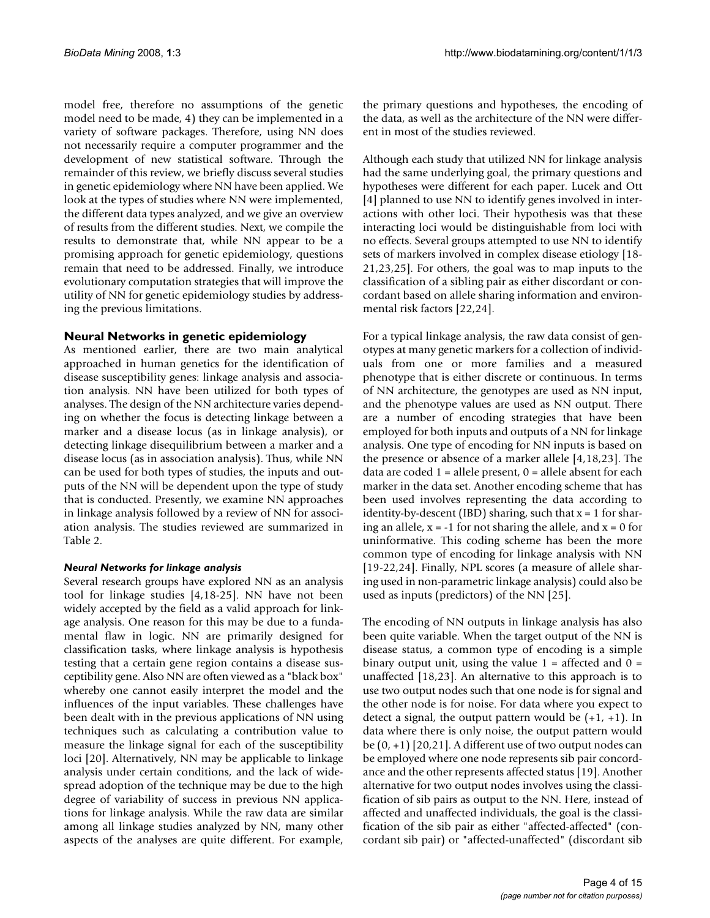model free, therefore no assumptions of the genetic model need to be made, 4) they can be implemented in a variety of software packages. Therefore, using NN does not necessarily require a computer programmer and the development of new statistical software. Through the remainder of this review, we briefly discuss several studies in genetic epidemiology where NN have been applied. We look at the types of studies where NN were implemented, the different data types analyzed, and we give an overview of results from the different studies. Next, we compile the results to demonstrate that, while NN appear to be a promising approach for genetic epidemiology, questions remain that need to be addressed. Finally, we introduce evolutionary computation strategies that will improve the utility of NN for genetic epidemiology studies by addressing the previous limitations.

# **Neural Networks in genetic epidemiology**

As mentioned earlier, there are two main analytical approached in human genetics for the identification of disease susceptibility genes: linkage analysis and association analysis. NN have been utilized for both types of analyses. The design of the NN architecture varies depending on whether the focus is detecting linkage between a marker and a disease locus (as in linkage analysis), or detecting linkage disequilibrium between a marker and a disease locus (as in association analysis). Thus, while NN can be used for both types of studies, the inputs and outputs of the NN will be dependent upon the type of study that is conducted. Presently, we examine NN approaches in linkage analysis followed by a review of NN for association analysis. The studies reviewed are summarized in Table 2.

#### *Neural Networks for linkage analysis*

Several research groups have explored NN as an analysis tool for linkage studies [4,18-25]. NN have not been widely accepted by the field as a valid approach for linkage analysis. One reason for this may be due to a fundamental flaw in logic. NN are primarily designed for classification tasks, where linkage analysis is hypothesis testing that a certain gene region contains a disease susceptibility gene. Also NN are often viewed as a "black box" whereby one cannot easily interpret the model and the influences of the input variables. These challenges have been dealt with in the previous applications of NN using techniques such as calculating a contribution value to measure the linkage signal for each of the susceptibility loci [20]. Alternatively, NN may be applicable to linkage analysis under certain conditions, and the lack of widespread adoption of the technique may be due to the high degree of variability of success in previous NN applications for linkage analysis. While the raw data are similar among all linkage studies analyzed by NN, many other aspects of the analyses are quite different. For example,

the primary questions and hypotheses, the encoding of the data, as well as the architecture of the NN were different in most of the studies reviewed.

Although each study that utilized NN for linkage analysis had the same underlying goal, the primary questions and hypotheses were different for each paper. Lucek and Ott [4] planned to use NN to identify genes involved in interactions with other loci. Their hypothesis was that these interacting loci would be distinguishable from loci with no effects. Several groups attempted to use NN to identify sets of markers involved in complex disease etiology [18- 21,23,25]. For others, the goal was to map inputs to the classification of a sibling pair as either discordant or concordant based on allele sharing information and environmental risk factors [22,24].

For a typical linkage analysis, the raw data consist of genotypes at many genetic markers for a collection of individuals from one or more families and a measured phenotype that is either discrete or continuous. In terms of NN architecture, the genotypes are used as NN input, and the phenotype values are used as NN output. There are a number of encoding strategies that have been employed for both inputs and outputs of a NN for linkage analysis. One type of encoding for NN inputs is based on the presence or absence of a marker allele [4,18,23]. The data are coded  $1$  = allele present,  $0$  = allele absent for each marker in the data set. Another encoding scheme that has been used involves representing the data according to identity-by-descent (IBD) sharing, such that  $x = 1$  for sharing an allele,  $x = -1$  for not sharing the allele, and  $x = 0$  for uninformative. This coding scheme has been the more common type of encoding for linkage analysis with NN [19-22,24]. Finally, NPL scores (a measure of allele sharing used in non-parametric linkage analysis) could also be used as inputs (predictors) of the NN [25].

The encoding of NN outputs in linkage analysis has also been quite variable. When the target output of the NN is disease status, a common type of encoding is a simple binary output unit, using the value  $1 =$  affected and  $0 =$ unaffected [18,23]. An alternative to this approach is to use two output nodes such that one node is for signal and the other node is for noise. For data where you expect to detect a signal, the output pattern would be  $(+1, +1)$ . In data where there is only noise, the output pattern would be  $(0, +1)$  [20,21]. A different use of two output nodes can be employed where one node represents sib pair concordance and the other represents affected status [19]. Another alternative for two output nodes involves using the classification of sib pairs as output to the NN. Here, instead of affected and unaffected individuals, the goal is the classification of the sib pair as either "affected-affected" (concordant sib pair) or "affected-unaffected" (discordant sib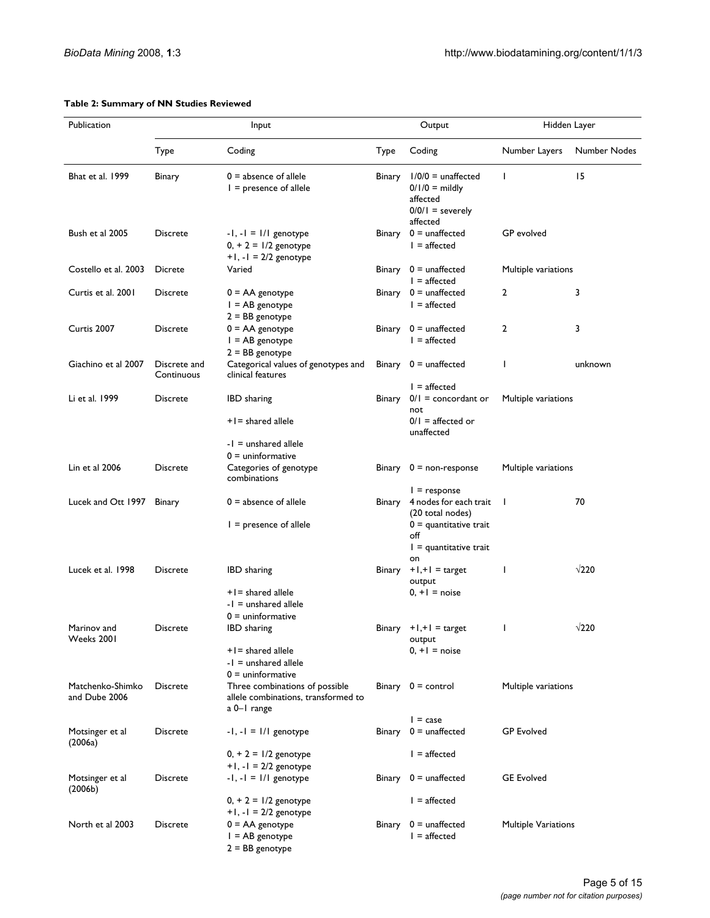#### **Table 2: Summary of NN Studies Reviewed**

| Publication                       | Input                      |                                                                                      | Output |                                                                                        | Hidden Layer               |              |
|-----------------------------------|----------------------------|--------------------------------------------------------------------------------------|--------|----------------------------------------------------------------------------------------|----------------------------|--------------|
|                                   | Type                       | Coding                                                                               | Type   | Coding                                                                                 | Number Layers              | Number Nodes |
| Bhat et al. 1999                  | Binary                     | $0 =$ absence of allele<br>$I =$ presence of allele                                  | Binary | $1/0/0$ = unaffected<br>$0/1/0 =$ mildly<br>affected<br>$0/0/1$ = severely<br>affected |                            | 15           |
| Bush et al 2005                   | <b>Discrete</b>            | $-1, -1 = 1/1$ genotype<br>$0, + 2 = 1/2$ genotype<br>$+1$ , $-1 = 2/2$ genotype     | Binary | $0 =$ unaffected<br>$I =$ affected                                                     | GP evolved                 |              |
| Costello et al. 2003              | Dicrete                    | Varied                                                                               | Binary | $0 =$ unaffected<br>$I =$ affected                                                     | Multiple variations        |              |
| Curtis et al. 2001                | <b>Discrete</b>            | $0 = AA$ genotype<br>$I = AB$ genotype<br>$2 = BB$ genotype                          |        | Binary $0 =$ unaffected<br>$I =$ affected                                              | 2                          | 3            |
| Curtis 2007                       | <b>Discrete</b>            | $0 = AA$ genotype<br>$I = AB$ genotype<br>$2 = BB$ genotype                          | Binary | $0 =$ unaffected<br>$I =$ affected                                                     | 2                          | 3            |
| Giachino et al 2007               | Discrete and<br>Continuous | Categorical values of genotypes and<br>clinical features                             |        | Binary $0 =$ unaffected                                                                | I                          | unknown      |
| Li et al. 1999                    | <b>Discrete</b>            | <b>IBD</b> sharing                                                                   | Binary | $I =$ affected<br>$0/1$ = concordant or<br>not                                         | Multiple variations        |              |
|                                   |                            | $+1$ = shared allele<br>$-I =$ unshared allele                                       |        | $0/I =$ affected or<br>unaffected                                                      |                            |              |
| Lin et al 2006                    | Discrete                   | $0 =$ uninformative<br>Categories of genotype<br>combinations                        |        | Binary $0 =$ non-response                                                              | Multiple variations        |              |
| Lucek and Ott 1997                | Binary                     | $0 =$ absence of allele                                                              | Binary | $l =$ response<br>4 nodes for each trait<br>(20 total nodes)                           | $\mathbf{I}$               | 70           |
|                                   |                            | $I =$ presence of allele                                                             |        | $0 =$ quantitative trait<br>off<br>$I =$ quantitative trait<br>on                      |                            |              |
| Lucek et al. 1998                 | <b>Discrete</b>            | <b>IBD</b> sharing                                                                   | Binary | $+ $ , + $=$ target<br>output                                                          |                            | $\sqrt{220}$ |
|                                   |                            | $+1$ = shared allele<br>$-I =$ unshared allele<br>$0 =$ uninformative                |        | $0, +1$ = noise                                                                        |                            |              |
| Marinov and<br>Weeks 2001         | <b>Discrete</b>            | IBD sharing                                                                          | Binary | $+ 1, + $ = target<br>output                                                           |                            | $\sqrt{220}$ |
|                                   |                            | $+1$ = shared allele<br>$-I =$ unshared allele<br>$0 =$ uninformative                |        | $0, +1$ = noise                                                                        |                            |              |
| Matchenko-Shimko<br>and Dube 2006 | <b>Discrete</b>            | Three combinations of possible<br>allele combinations, transformed to<br>a 0-1 range |        | Binary $0 =$ control                                                                   | Multiple variations        |              |
|                                   |                            |                                                                                      |        | $I = case$                                                                             |                            |              |
| Motsinger et al<br>(2006a)        | Discrete                   | $-1, -1 = 1/1$ genotype                                                              |        | Binary $0 =$ unaffected<br>$I =$ affected                                              | <b>GP</b> Evolved          |              |
|                                   |                            | $0, + 2 = 1/2$ genotype<br>$+1$ , $-1 = 2/2$ genotype                                |        |                                                                                        |                            |              |
| Motsinger et al<br>(2006b)        | <b>Discrete</b>            | $-1, -1 = 1/1$ genotype                                                              | Binary | $0 =$ unaffected                                                                       | <b>GE Evolved</b>          |              |
| North et al 2003                  | <b>Discrete</b>            | $0, + 2 = 1/2$ genotype<br>$+1, -1 = 2/2$ genotype<br>$0 = AA$ genotype              | Binary | $I =$ affected<br>$0 =$ unaffected                                                     | <b>Multiple Variations</b> |              |
|                                   |                            | $I = AB$ genotype<br>$2 = BB$ genotype                                               |        | $I =$ affected                                                                         |                            |              |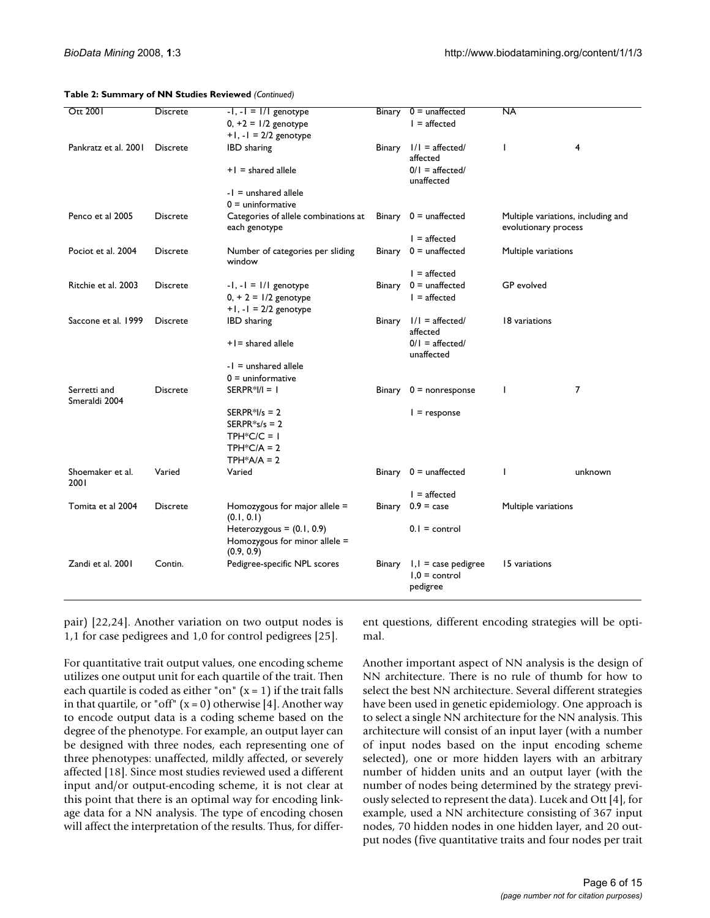#### **Table 2: Summary of NN Studies Reviewed** *(Continued)*

| Ott 2001             | <b>Discrete</b> | $-1, -1 = 1/1$ genotype                       |        | Binary $0 =$ unaffected    | <b>NA</b>                          |         |
|----------------------|-----------------|-----------------------------------------------|--------|----------------------------|------------------------------------|---------|
|                      |                 | $0, +2 = 1/2$ genotype                        |        | $I =$ affected             |                                    |         |
|                      |                 | $+1$ , $-1 = 2/2$ genotype                    |        |                            |                                    |         |
| Pankratz et al. 2001 | <b>Discrete</b> | <b>IBD</b> sharing                            | Binary | $1/I =$ affected/          | T                                  | 4       |
|                      |                 |                                               |        | affected                   |                                    |         |
|                      |                 | $+1$ = shared allele                          |        | $0/I = \text{affected}/$   |                                    |         |
|                      |                 |                                               |        | unaffected                 |                                    |         |
|                      |                 | $-I =$ unshared allele                        |        |                            |                                    |         |
|                      |                 | $0 =$ uninformative                           |        |                            |                                    |         |
| Penco et al 2005     | <b>Discrete</b> | Categories of allele combinations at          |        | Binary $0 =$ unaffected    | Multiple variations, including and |         |
|                      |                 | each genotype                                 |        |                            | evolutionary process               |         |
|                      |                 |                                               |        | $I =$ affected             |                                    |         |
| Pociot et al. 2004   | <b>Discrete</b> | Number of categories per sliding              |        | Binary 0 = unaffected      | Multiple variations                |         |
|                      |                 | window                                        |        |                            |                                    |         |
|                      |                 |                                               |        | $I =$ affected             |                                    |         |
| Ritchie et al. 2003  | <b>Discrete</b> | $-I, -I = I/I$ genotype                       |        | Binary $0 =$ unaffected    | GP evolved                         |         |
|                      |                 | $0, + 2 = 1/2$ genotype                       |        | $I =$ affected             |                                    |         |
|                      |                 | $+1$ , $-1 = 2/2$ genotype                    |        |                            |                                    |         |
| Saccone et al. 1999  | <b>Discrete</b> | <b>IBD</b> sharing                            | Binary | $1/1$ = affected/          | 18 variations                      |         |
|                      |                 |                                               |        | affected                   |                                    |         |
|                      |                 | $+1$ = shared allele                          |        | $0/I =$ affected/          |                                    |         |
|                      |                 |                                               |        | unaffected                 |                                    |         |
|                      |                 | $-I =$ unshared allele                        |        |                            |                                    |         |
|                      |                 | $0 =$ uninformative                           |        |                            |                                    |         |
| Serretti and         | <b>Discrete</b> | $SERPR*1/l = 1$                               |        | Binary $0 =$ nonresponse   | T                                  | 7       |
| Smeraldi 2004        |                 |                                               |        |                            |                                    |         |
|                      |                 | $SERPR*1/s = 2$                               |        | $l =$ response             |                                    |         |
|                      |                 | $SERPR*s/s = 2$                               |        |                            |                                    |         |
|                      |                 | $TPH*C/C = 1$                                 |        |                            |                                    |         |
|                      |                 | $TPH*C/A = 2$                                 |        |                            |                                    |         |
|                      |                 | $TPH*A/A = 2$                                 |        |                            |                                    |         |
| Shoemaker et al.     | Varied          | Varied                                        |        | Binary $0 =$ unaffected    | T                                  | unknown |
| 2001                 |                 |                                               |        |                            |                                    |         |
|                      |                 |                                               |        | $I =$ affected             |                                    |         |
| Tomita et al 2004    | <b>Discrete</b> | Homozygous for major allele $=$<br>(0.1, 0.1) |        | Binary $0.9 = \text{case}$ | Multiple variations                |         |
|                      |                 | Heterozygous = $(0.1, 0.9)$                   |        | $0.1 =$ control            |                                    |         |
|                      |                 | Homozygous for minor allele =                 |        |                            |                                    |         |
|                      |                 | (0.9, 0.9)                                    |        |                            |                                    |         |
| Zandi et al. 2001    | Contin.         | Pedigree-specific NPL scores                  | Binary | $I, I = case$ pedigree     | 15 variations                      |         |
|                      |                 |                                               |        | $1,0 =$ control            |                                    |         |
|                      |                 |                                               |        | pedigree                   |                                    |         |
|                      |                 |                                               |        |                            |                                    |         |

pair) [22,24]. Another variation on two output nodes is 1,1 for case pedigrees and 1,0 for control pedigrees [25].

For quantitative trait output values, one encoding scheme utilizes one output unit for each quartile of the trait. Then each quartile is coded as either "on"  $(x = 1)$  if the trait falls in that quartile, or "off"  $(x = 0)$  otherwise [4]. Another way to encode output data is a coding scheme based on the degree of the phenotype. For example, an output layer can be designed with three nodes, each representing one of three phenotypes: unaffected, mildly affected, or severely affected [18]. Since most studies reviewed used a different input and/or output-encoding scheme, it is not clear at this point that there is an optimal way for encoding linkage data for a NN analysis. The type of encoding chosen will affect the interpretation of the results. Thus, for different questions, different encoding strategies will be optimal.

Another important aspect of NN analysis is the design of NN architecture. There is no rule of thumb for how to select the best NN architecture. Several different strategies have been used in genetic epidemiology. One approach is to select a single NN architecture for the NN analysis. This architecture will consist of an input layer (with a number of input nodes based on the input encoding scheme selected), one or more hidden layers with an arbitrary number of hidden units and an output layer (with the number of nodes being determined by the strategy previously selected to represent the data). Lucek and Ott [4], for example, used a NN architecture consisting of 367 input nodes, 70 hidden nodes in one hidden layer, and 20 output nodes (five quantitative traits and four nodes per trait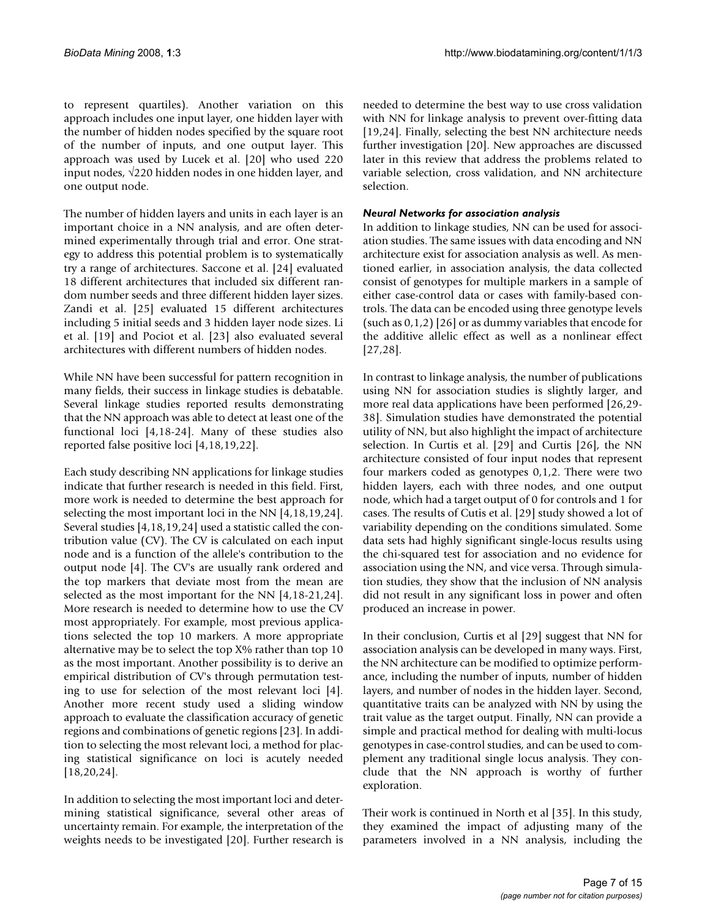to represent quartiles). Another variation on this approach includes one input layer, one hidden layer with the number of hidden nodes specified by the square root of the number of inputs, and one output layer. This approach was used by Lucek et al. [20] who used 220 input nodes, √220 hidden nodes in one hidden layer, and one output node.

The number of hidden layers and units in each layer is an important choice in a NN analysis, and are often determined experimentally through trial and error. One strategy to address this potential problem is to systematically try a range of architectures. Saccone et al. [24] evaluated 18 different architectures that included six different random number seeds and three different hidden layer sizes. Zandi et al. [25] evaluated 15 different architectures including 5 initial seeds and 3 hidden layer node sizes. Li et al. [19] and Pociot et al. [23] also evaluated several architectures with different numbers of hidden nodes.

While NN have been successful for pattern recognition in many fields, their success in linkage studies is debatable. Several linkage studies reported results demonstrating that the NN approach was able to detect at least one of the functional loci [4,18-24]. Many of these studies also reported false positive loci [4,18,19,22].

Each study describing NN applications for linkage studies indicate that further research is needed in this field. First, more work is needed to determine the best approach for selecting the most important loci in the NN [4,18,19,24]. Several studies [4,18,19,24] used a statistic called the contribution value (CV). The CV is calculated on each input node and is a function of the allele's contribution to the output node [4]. The CV's are usually rank ordered and the top markers that deviate most from the mean are selected as the most important for the NN [4,18-21,24]. More research is needed to determine how to use the CV most appropriately. For example, most previous applications selected the top 10 markers. A more appropriate alternative may be to select the top X% rather than top 10 as the most important. Another possibility is to derive an empirical distribution of CV's through permutation testing to use for selection of the most relevant loci [4]. Another more recent study used a sliding window approach to evaluate the classification accuracy of genetic regions and combinations of genetic regions [23]. In addition to selecting the most relevant loci, a method for placing statistical significance on loci is acutely needed [18,20,24].

In addition to selecting the most important loci and determining statistical significance, several other areas of uncertainty remain. For example, the interpretation of the weights needs to be investigated [20]. Further research is needed to determine the best way to use cross validation with NN for linkage analysis to prevent over-fitting data [19,24]. Finally, selecting the best NN architecture needs further investigation [20]. New approaches are discussed later in this review that address the problems related to variable selection, cross validation, and NN architecture selection.

## *Neural Networks for association analysis*

In addition to linkage studies, NN can be used for association studies. The same issues with data encoding and NN architecture exist for association analysis as well. As mentioned earlier, in association analysis, the data collected consist of genotypes for multiple markers in a sample of either case-control data or cases with family-based controls. The data can be encoded using three genotype levels (such as 0,1,2) [26] or as dummy variables that encode for the additive allelic effect as well as a nonlinear effect [27,28].

In contrast to linkage analysis, the number of publications using NN for association studies is slightly larger, and more real data applications have been performed [26,29- 38]. Simulation studies have demonstrated the potential utility of NN, but also highlight the impact of architecture selection. In Curtis et al. [29] and Curtis [26], the NN architecture consisted of four input nodes that represent four markers coded as genotypes 0,1,2. There were two hidden layers, each with three nodes, and one output node, which had a target output of 0 for controls and 1 for cases. The results of Cutis et al. [29] study showed a lot of variability depending on the conditions simulated. Some data sets had highly significant single-locus results using the chi-squared test for association and no evidence for association using the NN, and vice versa. Through simulation studies, they show that the inclusion of NN analysis did not result in any significant loss in power and often produced an increase in power.

In their conclusion, Curtis et al [29] suggest that NN for association analysis can be developed in many ways. First, the NN architecture can be modified to optimize performance, including the number of inputs, number of hidden layers, and number of nodes in the hidden layer. Second, quantitative traits can be analyzed with NN by using the trait value as the target output. Finally, NN can provide a simple and practical method for dealing with multi-locus genotypes in case-control studies, and can be used to complement any traditional single locus analysis. They conclude that the NN approach is worthy of further exploration.

Their work is continued in North et al [35]. In this study, they examined the impact of adjusting many of the parameters involved in a NN analysis, including the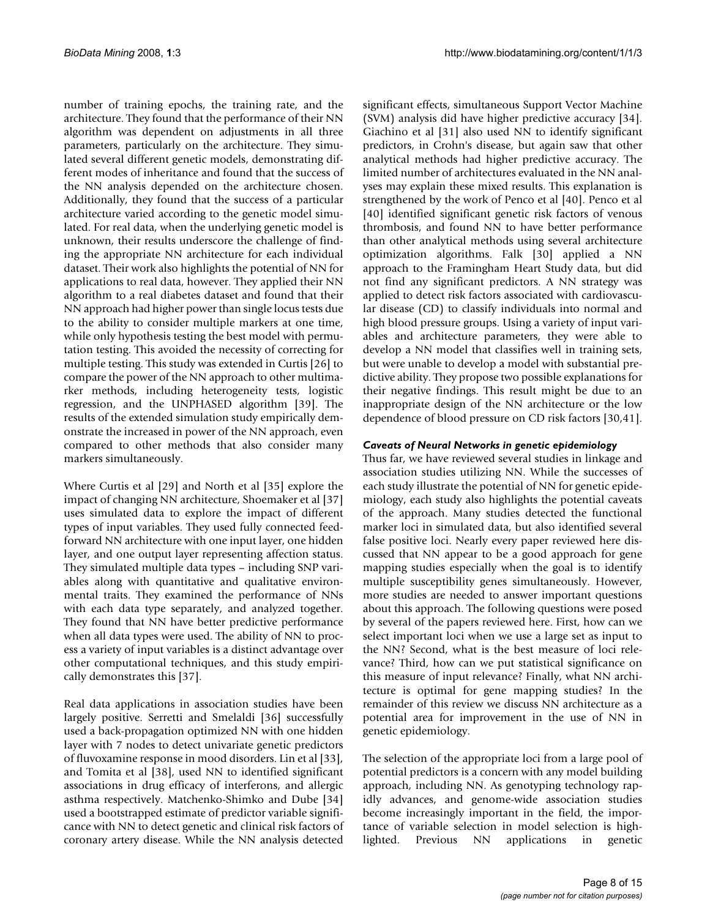number of training epochs, the training rate, and the architecture. They found that the performance of their NN algorithm was dependent on adjustments in all three parameters, particularly on the architecture. They simulated several different genetic models, demonstrating different modes of inheritance and found that the success of the NN analysis depended on the architecture chosen. Additionally, they found that the success of a particular architecture varied according to the genetic model simulated. For real data, when the underlying genetic model is unknown, their results underscore the challenge of finding the appropriate NN architecture for each individual dataset. Their work also highlights the potential of NN for applications to real data, however. They applied their NN algorithm to a real diabetes dataset and found that their NN approach had higher power than single locus tests due to the ability to consider multiple markers at one time, while only hypothesis testing the best model with permutation testing. This avoided the necessity of correcting for multiple testing. This study was extended in Curtis [26] to compare the power of the NN approach to other multimarker methods, including heterogeneity tests, logistic regression, and the UNPHASED algorithm [39]. The results of the extended simulation study empirically demonstrate the increased in power of the NN approach, even compared to other methods that also consider many markers simultaneously.

Where Curtis et al [29] and North et al [35] explore the impact of changing NN architecture, Shoemaker et al [37] uses simulated data to explore the impact of different types of input variables. They used fully connected feedforward NN architecture with one input layer, one hidden layer, and one output layer representing affection status. They simulated multiple data types – including SNP variables along with quantitative and qualitative environmental traits. They examined the performance of NNs with each data type separately, and analyzed together. They found that NN have better predictive performance when all data types were used. The ability of NN to process a variety of input variables is a distinct advantage over other computational techniques, and this study empirically demonstrates this [37].

Real data applications in association studies have been largely positive. Serretti and Smelaldi [36] successfully used a back-propagation optimized NN with one hidden layer with 7 nodes to detect univariate genetic predictors of fluvoxamine response in mood disorders. Lin et al [33], and Tomita et al [38], used NN to identified significant associations in drug efficacy of interferons, and allergic asthma respectively. Matchenko-Shimko and Dube [34] used a bootstrapped estimate of predictor variable significance with NN to detect genetic and clinical risk factors of coronary artery disease. While the NN analysis detected

significant effects, simultaneous Support Vector Machine (SVM) analysis did have higher predictive accuracy [34]. Giachino et al [31] also used NN to identify significant predictors, in Crohn's disease, but again saw that other analytical methods had higher predictive accuracy. The limited number of architectures evaluated in the NN analyses may explain these mixed results. This explanation is strengthened by the work of Penco et al [40]. Penco et al [40] identified significant genetic risk factors of venous thrombosis, and found NN to have better performance than other analytical methods using several architecture optimization algorithms. Falk [30] applied a NN approach to the Framingham Heart Study data, but did not find any significant predictors. A NN strategy was applied to detect risk factors associated with cardiovascular disease (CD) to classify individuals into normal and high blood pressure groups. Using a variety of input variables and architecture parameters, they were able to develop a NN model that classifies well in training sets, but were unable to develop a model with substantial predictive ability. They propose two possible explanations for their negative findings. This result might be due to an inappropriate design of the NN architecture or the low dependence of blood pressure on CD risk factors [30,41].

## *Caveats of Neural Networks in genetic epidemiology*

Thus far, we have reviewed several studies in linkage and association studies utilizing NN. While the successes of each study illustrate the potential of NN for genetic epidemiology, each study also highlights the potential caveats of the approach. Many studies detected the functional marker loci in simulated data, but also identified several false positive loci. Nearly every paper reviewed here discussed that NN appear to be a good approach for gene mapping studies especially when the goal is to identify multiple susceptibility genes simultaneously. However, more studies are needed to answer important questions about this approach. The following questions were posed by several of the papers reviewed here. First, how can we select important loci when we use a large set as input to the NN? Second, what is the best measure of loci relevance? Third, how can we put statistical significance on this measure of input relevance? Finally, what NN architecture is optimal for gene mapping studies? In the remainder of this review we discuss NN architecture as a potential area for improvement in the use of NN in genetic epidemiology.

The selection of the appropriate loci from a large pool of potential predictors is a concern with any model building approach, including NN. As genotyping technology rapidly advances, and genome-wide association studies become increasingly important in the field, the importance of variable selection in model selection is highlighted. Previous NN applications in genetic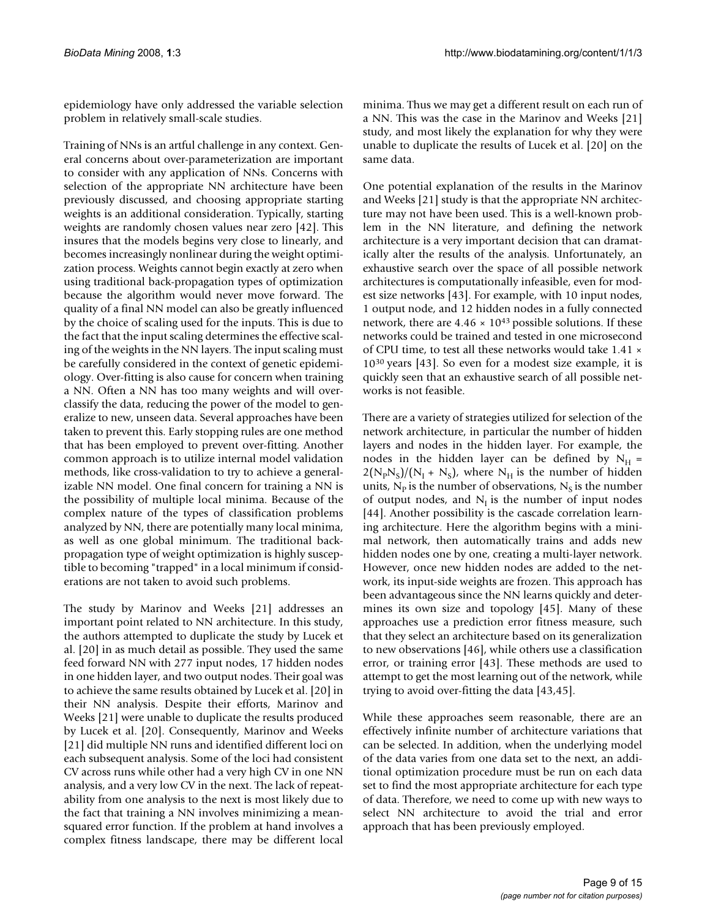epidemiology have only addressed the variable selection problem in relatively small-scale studies.

Training of NNs is an artful challenge in any context. General concerns about over-parameterization are important to consider with any application of NNs. Concerns with selection of the appropriate NN architecture have been previously discussed, and choosing appropriate starting weights is an additional consideration. Typically, starting weights are randomly chosen values near zero [42]. This insures that the models begins very close to linearly, and becomes increasingly nonlinear during the weight optimization process. Weights cannot begin exactly at zero when using traditional back-propagation types of optimization because the algorithm would never move forward. The quality of a final NN model can also be greatly influenced by the choice of scaling used for the inputs. This is due to the fact that the input scaling determines the effective scaling of the weights in the NN layers. The input scaling must be carefully considered in the context of genetic epidemiology. Over-fitting is also cause for concern when training a NN. Often a NN has too many weights and will overclassify the data, reducing the power of the model to generalize to new, unseen data. Several approaches have been taken to prevent this. Early stopping rules are one method that has been employed to prevent over-fitting. Another common approach is to utilize internal model validation methods, like cross-validation to try to achieve a generalizable NN model. One final concern for training a NN is the possibility of multiple local minima. Because of the complex nature of the types of classification problems analyzed by NN, there are potentially many local minima, as well as one global minimum. The traditional backpropagation type of weight optimization is highly susceptible to becoming "trapped" in a local minimum if considerations are not taken to avoid such problems.

The study by Marinov and Weeks [21] addresses an important point related to NN architecture. In this study, the authors attempted to duplicate the study by Lucek et al. [20] in as much detail as possible. They used the same feed forward NN with 277 input nodes, 17 hidden nodes in one hidden layer, and two output nodes. Their goal was to achieve the same results obtained by Lucek et al. [20] in their NN analysis. Despite their efforts, Marinov and Weeks [21] were unable to duplicate the results produced by Lucek et al. [20]. Consequently, Marinov and Weeks [21] did multiple NN runs and identified different loci on each subsequent analysis. Some of the loci had consistent CV across runs while other had a very high CV in one NN analysis, and a very low CV in the next. The lack of repeatability from one analysis to the next is most likely due to the fact that training a NN involves minimizing a meansquared error function. If the problem at hand involves a complex fitness landscape, there may be different local

minima. Thus we may get a different result on each run of a NN. This was the case in the Marinov and Weeks [21] study, and most likely the explanation for why they were unable to duplicate the results of Lucek et al. [20] on the same data.

One potential explanation of the results in the Marinov and Weeks [21] study is that the appropriate NN architecture may not have been used. This is a well-known problem in the NN literature, and defining the network architecture is a very important decision that can dramatically alter the results of the analysis. Unfortunately, an exhaustive search over the space of all possible network architectures is computationally infeasible, even for modest size networks [43]. For example, with 10 input nodes, 1 output node, and 12 hidden nodes in a fully connected network, there are  $4.46 \times 10^{43}$  possible solutions. If these networks could be trained and tested in one microsecond of CPU time, to test all these networks would take 1.41 × 1030 years [43]. So even for a modest size example, it is quickly seen that an exhaustive search of all possible networks is not feasible.

There are a variety of strategies utilized for selection of the network architecture, in particular the number of hidden layers and nodes in the hidden layer. For example, the nodes in the hidden layer can be defined by  $N_H$  =  $2(N_PN_S)/(N_I + N_S)$ , where  $N_H$  is the number of hidden units,  $N_p$  is the number of observations,  $N_s$  is the number of output nodes, and  $N<sub>I</sub>$  is the number of input nodes [44]. Another possibility is the cascade correlation learning architecture. Here the algorithm begins with a minimal network, then automatically trains and adds new hidden nodes one by one, creating a multi-layer network. However, once new hidden nodes are added to the network, its input-side weights are frozen. This approach has been advantageous since the NN learns quickly and determines its own size and topology [45]. Many of these approaches use a prediction error fitness measure, such that they select an architecture based on its generalization to new observations [46], while others use a classification error, or training error [43]. These methods are used to attempt to get the most learning out of the network, while trying to avoid over-fitting the data [43,45].

While these approaches seem reasonable, there are an effectively infinite number of architecture variations that can be selected. In addition, when the underlying model of the data varies from one data set to the next, an additional optimization procedure must be run on each data set to find the most appropriate architecture for each type of data. Therefore, we need to come up with new ways to select NN architecture to avoid the trial and error approach that has been previously employed.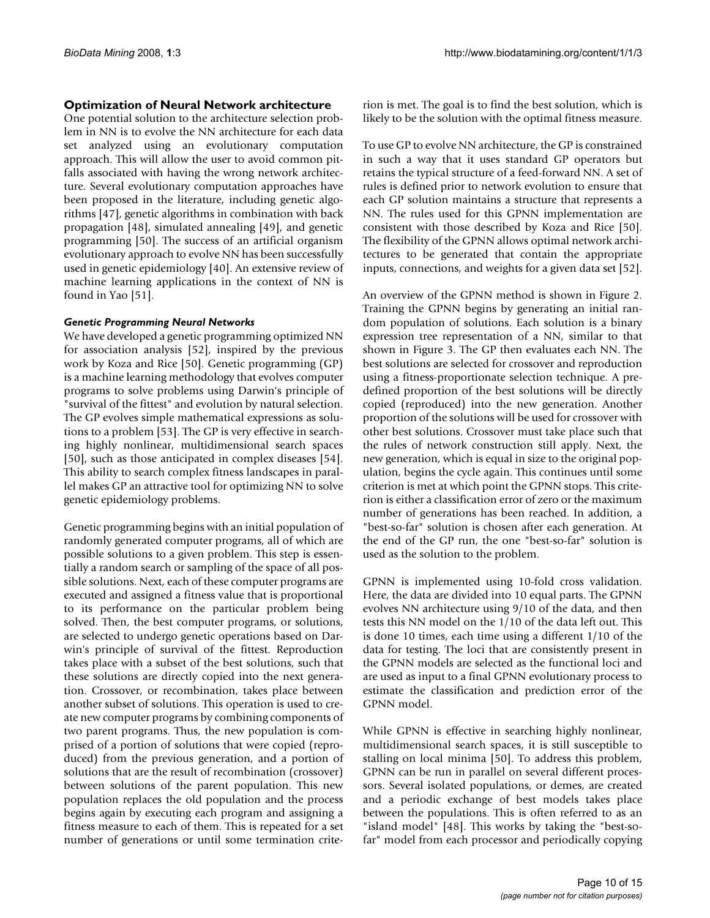## **Optimization of Neural Network architecture**

One potential solution to the architecture selection problem in NN is to evolve the NN architecture for each data set analyzed using an evolutionary computation approach. This will allow the user to avoid common pitfalls associated with having the wrong network architecture. Several evolutionary computation approaches have been proposed in the literature, including genetic algorithms [47], genetic algorithms in combination with back propagation [48], simulated annealing [49], and genetic programming [50]. The success of an artificial organism evolutionary approach to evolve NN has been successfully used in genetic epidemiology [40]. An extensive review of machine learning applications in the context of NN is found in Yao [51].

## *Genetic Programming Neural Networks*

We have developed a genetic programming optimized NN for association analysis [52], inspired by the previous work by Koza and Rice [50]. Genetic programming (GP) is a machine learning methodology that evolves computer programs to solve problems using Darwin's principle of "survival of the fittest" and evolution by natural selection. The GP evolves simple mathematical expressions as solutions to a problem [53]. The GP is very effective in searching highly nonlinear, multidimensional search spaces [50], such as those anticipated in complex diseases [54]. This ability to search complex fitness landscapes in parallel makes GP an attractive tool for optimizing NN to solve genetic epidemiology problems.

Genetic programming begins with an initial population of randomly generated computer programs, all of which are possible solutions to a given problem. This step is essentially a random search or sampling of the space of all possible solutions. Next, each of these computer programs are executed and assigned a fitness value that is proportional to its performance on the particular problem being solved. Then, the best computer programs, or solutions, are selected to undergo genetic operations based on Darwin's principle of survival of the fittest. Reproduction takes place with a subset of the best solutions, such that these solutions are directly copied into the next generation. Crossover, or recombination, takes place between another subset of solutions. This operation is used to create new computer programs by combining components of two parent programs. Thus, the new population is comprised of a portion of solutions that were copied (reproduced) from the previous generation, and a portion of solutions that are the result of recombination (crossover) between solutions of the parent population. This new population replaces the old population and the process begins again by executing each program and assigning a fitness measure to each of them. This is repeated for a set number of generations or until some termination criterion is met. The goal is to find the best solution, which is likely to be the solution with the optimal fitness measure.

To use GP to evolve NN architecture, the GP is constrained in such a way that it uses standard GP operators but retains the typical structure of a feed-forward NN. A set of rules is defined prior to network evolution to ensure that each GP solution maintains a structure that represents a NN. The rules used for this GPNN implementation are consistent with those described by Koza and Rice [50]. The flexibility of the GPNN allows optimal network architectures to be generated that contain the appropriate inputs, connections, and weights for a given data set [52].

An overview of the GPNN method is shown in Figure 2. Training the GPNN begins by generating an initial random population of solutions. Each solution is a binary expression tree representation of a NN, similar to that shown in Figure 3. The GP then evaluates each NN. The best solutions are selected for crossover and reproduction using a fitness-proportionate selection technique. A predefined proportion of the best solutions will be directly copied (reproduced) into the new generation. Another proportion of the solutions will be used for crossover with other best solutions. Crossover must take place such that the rules of network construction still apply. Next, the new generation, which is equal in size to the original population, begins the cycle again. This continues until some criterion is met at which point the GPNN stops. This criterion is either a classification error of zero or the maximum number of generations has been reached. In addition, a "best-so-far" solution is chosen after each generation. At the end of the GP run, the one "best-so-far" solution is used as the solution to the problem.

GPNN is implemented using 10-fold cross validation. Here, the data are divided into 10 equal parts. The GPNN evolves NN architecture using 9/10 of the data, and then tests this NN model on the 1/10 of the data left out. This is done 10 times, each time using a different 1/10 of the data for testing. The loci that are consistently present in the GPNN models are selected as the functional loci and are used as input to a final GPNN evolutionary process to estimate the classification and prediction error of the GPNN model.

While GPNN is effective in searching highly nonlinear, multidimensional search spaces, it is still susceptible to stalling on local minima [50]. To address this problem, GPNN can be run in parallel on several different processors. Several isolated populations, or demes, are created and a periodic exchange of best models takes place between the populations. This is often referred to as an "island model" [48]. This works by taking the "best-sofar" model from each processor and periodically copying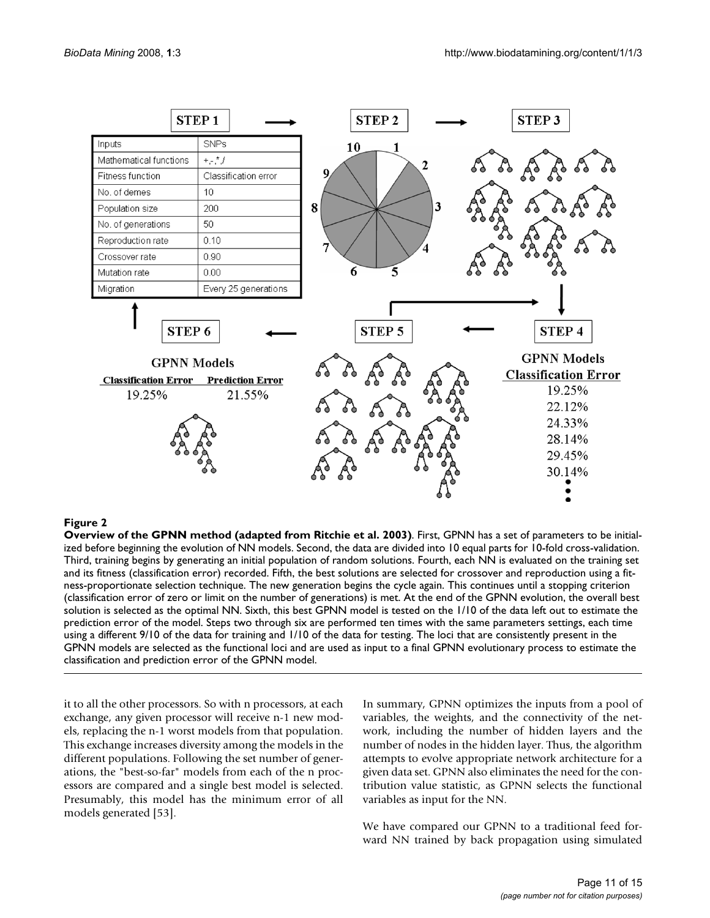

# **Figure 2**

**Overview of the GPNN method (adapted from Ritchie et al. 2003)**. First, GPNN has a set of parameters to be initialized before beginning the evolution of NN models. Second, the data are divided into 10 equal parts for 10-fold cross-validation. Third, training begins by generating an initial population of random solutions. Fourth, each NN is evaluated on the training set and its fitness (classification error) recorded. Fifth, the best solutions are selected for crossover and reproduction using a fitness-proportionate selection technique. The new generation begins the cycle again. This continues until a stopping criterion (classification error of zero or limit on the number of generations) is met. At the end of the GPNN evolution, the overall best solution is selected as the optimal NN. Sixth, this best GPNN model is tested on the 1/10 of the data left out to estimate the prediction error of the model. Steps two through six are performed ten times with the same parameters settings, each time using a different 9/10 of the data for training and 1/10 of the data for testing. The loci that are consistently present in the GPNN models are selected as the functional loci and are used as input to a final GPNN evolutionary process to estimate the classification and prediction error of the GPNN model.

it to all the other processors. So with n processors, at each exchange, any given processor will receive n-1 new models, replacing the n-1 worst models from that population. This exchange increases diversity among the models in the different populations. Following the set number of generations, the "best-so-far" models from each of the n processors are compared and a single best model is selected. Presumably, this model has the minimum error of all models generated [53].

In summary, GPNN optimizes the inputs from a pool of variables, the weights, and the connectivity of the network, including the number of hidden layers and the number of nodes in the hidden layer. Thus, the algorithm attempts to evolve appropriate network architecture for a given data set. GPNN also eliminates the need for the contribution value statistic, as GPNN selects the functional variables as input for the NN.

We have compared our GPNN to a traditional feed forward NN trained by back propagation using simulated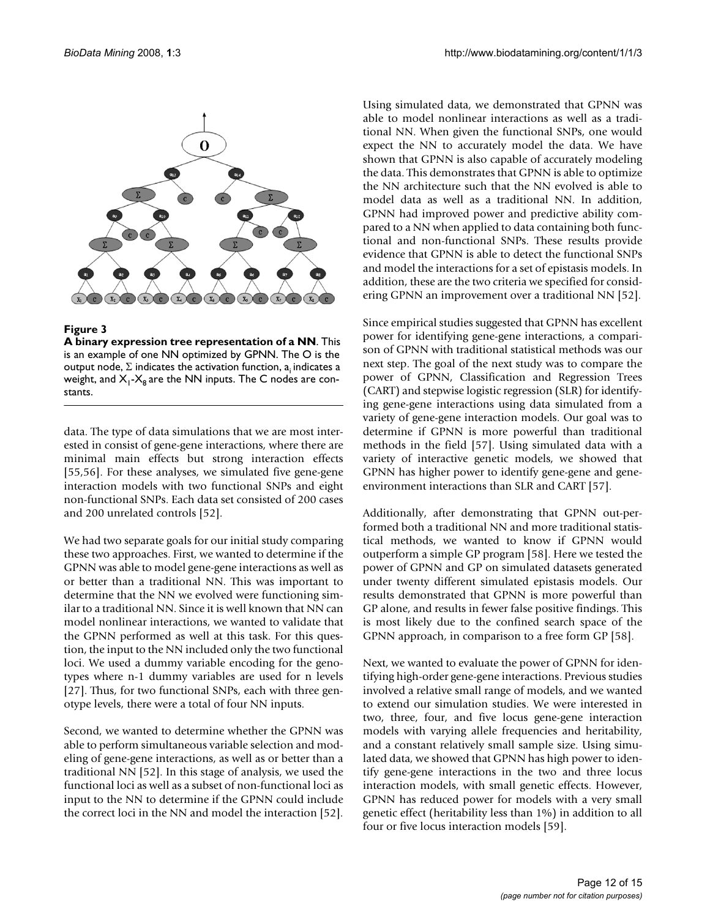

**Figure 3** 

**A binary expression tree representation of a NN**. This is an example of one NN optimized by GPNN. The O is the output node,  $\Sigma$  indicates the activation function,  $a_i$  indicates a weight, and  $X_1 - X_8$  are the NN inputs. The C nodes are constants.

data. The type of data simulations that we are most interested in consist of gene-gene interactions, where there are minimal main effects but strong interaction effects [55,56]. For these analyses, we simulated five gene-gene interaction models with two functional SNPs and eight non-functional SNPs. Each data set consisted of 200 cases and 200 unrelated controls [52].

We had two separate goals for our initial study comparing these two approaches. First, we wanted to determine if the GPNN was able to model gene-gene interactions as well as or better than a traditional NN. This was important to determine that the NN we evolved were functioning similar to a traditional NN. Since it is well known that NN can model nonlinear interactions, we wanted to validate that the GPNN performed as well at this task. For this question, the input to the NN included only the two functional loci. We used a dummy variable encoding for the genotypes where n-1 dummy variables are used for n levels [27]. Thus, for two functional SNPs, each with three genotype levels, there were a total of four NN inputs.

Second, we wanted to determine whether the GPNN was able to perform simultaneous variable selection and modeling of gene-gene interactions, as well as or better than a traditional NN [52]. In this stage of analysis, we used the functional loci as well as a subset of non-functional loci as input to the NN to determine if the GPNN could include the correct loci in the NN and model the interaction [52].

Using simulated data, we demonstrated that GPNN was able to model nonlinear interactions as well as a traditional NN. When given the functional SNPs, one would expect the NN to accurately model the data. We have shown that GPNN is also capable of accurately modeling the data. This demonstrates that GPNN is able to optimize the NN architecture such that the NN evolved is able to model data as well as a traditional NN. In addition, GPNN had improved power and predictive ability compared to a NN when applied to data containing both functional and non-functional SNPs. These results provide evidence that GPNN is able to detect the functional SNPs and model the interactions for a set of epistasis models. In addition, these are the two criteria we specified for considering GPNN an improvement over a traditional NN [52].

Since empirical studies suggested that GPNN has excellent power for identifying gene-gene interactions, a comparison of GPNN with traditional statistical methods was our next step. The goal of the next study was to compare the power of GPNN, Classification and Regression Trees (CART) and stepwise logistic regression (SLR) for identifying gene-gene interactions using data simulated from a variety of gene-gene interaction models. Our goal was to determine if GPNN is more powerful than traditional methods in the field [57]. Using simulated data with a variety of interactive genetic models, we showed that GPNN has higher power to identify gene-gene and geneenvironment interactions than SLR and CART [57].

Additionally, after demonstrating that GPNN out-performed both a traditional NN and more traditional statistical methods, we wanted to know if GPNN would outperform a simple GP program [58]. Here we tested the power of GPNN and GP on simulated datasets generated under twenty different simulated epistasis models. Our results demonstrated that GPNN is more powerful than GP alone, and results in fewer false positive findings. This is most likely due to the confined search space of the GPNN approach, in comparison to a free form GP [58].

Next, we wanted to evaluate the power of GPNN for identifying high-order gene-gene interactions. Previous studies involved a relative small range of models, and we wanted to extend our simulation studies. We were interested in two, three, four, and five locus gene-gene interaction models with varying allele frequencies and heritability, and a constant relatively small sample size. Using simulated data, we showed that GPNN has high power to identify gene-gene interactions in the two and three locus interaction models, with small genetic effects. However, GPNN has reduced power for models with a very small genetic effect (heritability less than 1%) in addition to all four or five locus interaction models [59].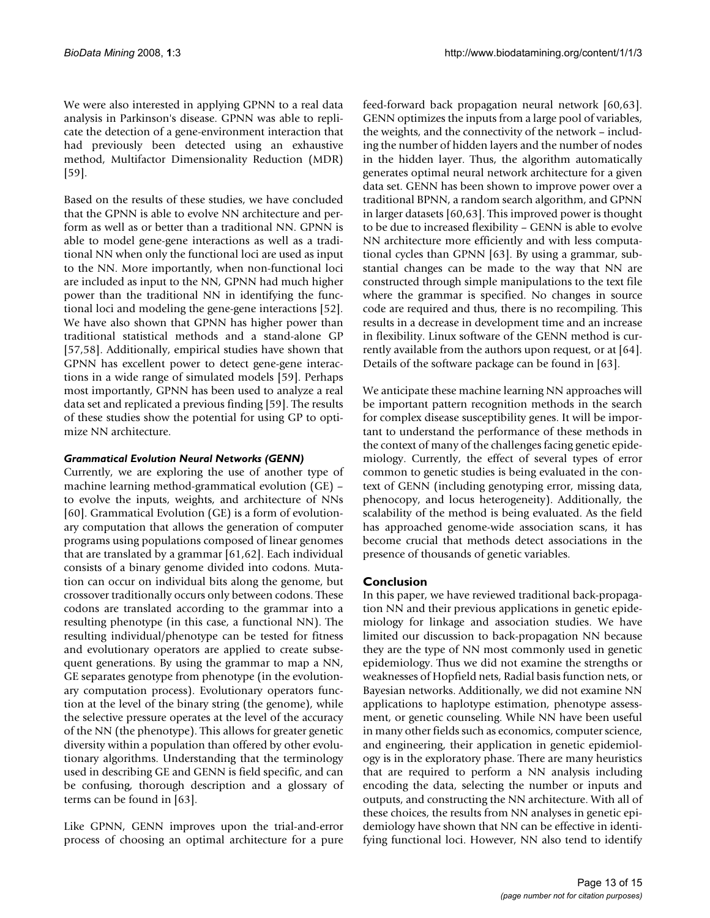We were also interested in applying GPNN to a real data analysis in Parkinson's disease. GPNN was able to replicate the detection of a gene-environment interaction that had previously been detected using an exhaustive method, Multifactor Dimensionality Reduction (MDR) [59].

Based on the results of these studies, we have concluded that the GPNN is able to evolve NN architecture and perform as well as or better than a traditional NN. GPNN is able to model gene-gene interactions as well as a traditional NN when only the functional loci are used as input to the NN. More importantly, when non-functional loci are included as input to the NN, GPNN had much higher power than the traditional NN in identifying the functional loci and modeling the gene-gene interactions [52]. We have also shown that GPNN has higher power than traditional statistical methods and a stand-alone GP [57,58]. Additionally, empirical studies have shown that GPNN has excellent power to detect gene-gene interactions in a wide range of simulated models [59]. Perhaps most importantly, GPNN has been used to analyze a real data set and replicated a previous finding [59]. The results of these studies show the potential for using GP to optimize NN architecture.

# *Grammatical Evolution Neural Networks (GENN)*

Currently, we are exploring the use of another type of machine learning method-grammatical evolution (GE) – to evolve the inputs, weights, and architecture of NNs [60]. Grammatical Evolution (GE) is a form of evolutionary computation that allows the generation of computer programs using populations composed of linear genomes that are translated by a grammar [61,62]. Each individual consists of a binary genome divided into codons. Mutation can occur on individual bits along the genome, but crossover traditionally occurs only between codons. These codons are translated according to the grammar into a resulting phenotype (in this case, a functional NN). The resulting individual/phenotype can be tested for fitness and evolutionary operators are applied to create subsequent generations. By using the grammar to map a NN, GE separates genotype from phenotype (in the evolutionary computation process). Evolutionary operators function at the level of the binary string (the genome), while the selective pressure operates at the level of the accuracy of the NN (the phenotype). This allows for greater genetic diversity within a population than offered by other evolutionary algorithms. Understanding that the terminology used in describing GE and GENN is field specific, and can be confusing, thorough description and a glossary of terms can be found in [63].

Like GPNN, GENN improves upon the trial-and-error process of choosing an optimal architecture for a pure feed-forward back propagation neural network [60,63]. GENN optimizes the inputs from a large pool of variables, the weights, and the connectivity of the network – including the number of hidden layers and the number of nodes in the hidden layer. Thus, the algorithm automatically generates optimal neural network architecture for a given data set. GENN has been shown to improve power over a traditional BPNN, a random search algorithm, and GPNN in larger datasets [60,63]. This improved power is thought to be due to increased flexibility – GENN is able to evolve NN architecture more efficiently and with less computational cycles than GPNN [63]. By using a grammar, substantial changes can be made to the way that NN are constructed through simple manipulations to the text file where the grammar is specified. No changes in source code are required and thus, there is no recompiling. This results in a decrease in development time and an increase in flexibility. Linux software of the GENN method is currently available from the authors upon request, or at [64]. Details of the software package can be found in [63].

We anticipate these machine learning NN approaches will be important pattern recognition methods in the search for complex disease susceptibility genes. It will be important to understand the performance of these methods in the context of many of the challenges facing genetic epidemiology. Currently, the effect of several types of error common to genetic studies is being evaluated in the context of GENN (including genotyping error, missing data, phenocopy, and locus heterogeneity). Additionally, the scalability of the method is being evaluated. As the field has approached genome-wide association scans, it has become crucial that methods detect associations in the presence of thousands of genetic variables.

# **Conclusion**

In this paper, we have reviewed traditional back-propagation NN and their previous applications in genetic epidemiology for linkage and association studies. We have limited our discussion to back-propagation NN because they are the type of NN most commonly used in genetic epidemiology. Thus we did not examine the strengths or weaknesses of Hopfield nets, Radial basis function nets, or Bayesian networks. Additionally, we did not examine NN applications to haplotype estimation, phenotype assessment, or genetic counseling. While NN have been useful in many other fields such as economics, computer science, and engineering, their application in genetic epidemiology is in the exploratory phase. There are many heuristics that are required to perform a NN analysis including encoding the data, selecting the number or inputs and outputs, and constructing the NN architecture. With all of these choices, the results from NN analyses in genetic epidemiology have shown that NN can be effective in identifying functional loci. However, NN also tend to identify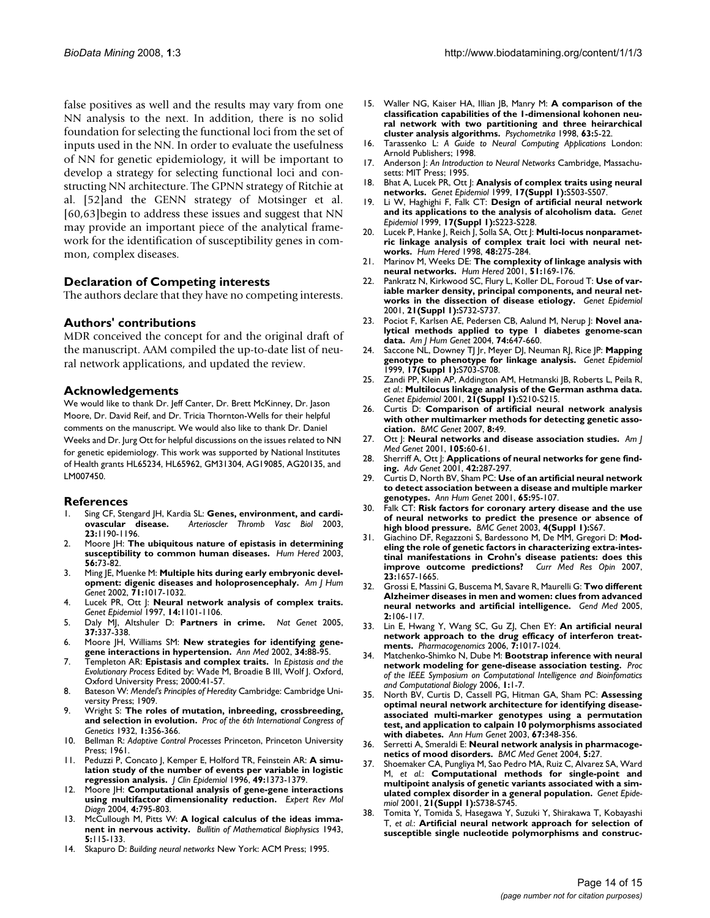false positives as well and the results may vary from one NN analysis to the next. In addition, there is no solid foundation for selecting the functional loci from the set of inputs used in the NN. In order to evaluate the usefulness of NN for genetic epidemiology, it will be important to develop a strategy for selecting functional loci and constructing NN architecture. The GPNN strategy of Ritchie at al. [52]and the GENN strategy of Motsinger et al. [60,63]begin to address these issues and suggest that NN may provide an important piece of the analytical framework for the identification of susceptibility genes in common, complex diseases.

## **Declaration of Competing interests**

The authors declare that they have no competing interests.

#### **Authors' contributions**

MDR conceived the concept for and the original draft of the manuscript. AAM compiled the up-to-date list of neural network applications, and updated the review.

#### **Acknowledgements**

We would like to thank Dr. Jeff Canter, Dr. Brett McKinney, Dr. Jason Moore, Dr. David Reif, and Dr. Tricia Thornton-Wells for their helpful comments on the manuscript. We would also like to thank Dr. Daniel Weeks and Dr. Jurg Ott for helpful discussions on the issues related to NN for genetic epidemiology. This work was supported by National Institutes of Health grants HL65234, HL65962, GM31304, AG19085, AG20135, and LM007450.

#### **References**

- 1. Sing CF, Stengard JH, Kardia SL: **[Genes, environment, and cardi](http://www.ncbi.nlm.nih.gov/entrez/query.fcgi?cmd=Retrieve&db=PubMed&dopt=Abstract&list_uids=12730090)[ovascular disease.](http://www.ncbi.nlm.nih.gov/entrez/query.fcgi?cmd=Retrieve&db=PubMed&dopt=Abstract&list_uids=12730090)** *Arterioscler Thromb Vasc Biol* 2003, **23:**1190-1196.
- 2. Moore JH: **[The ubiquitous nature of epistasis in determining](http://www.ncbi.nlm.nih.gov/entrez/query.fcgi?cmd=Retrieve&db=PubMed&dopt=Abstract&list_uids=14614241) [susceptibility to common human diseases.](http://www.ncbi.nlm.nih.gov/entrez/query.fcgi?cmd=Retrieve&db=PubMed&dopt=Abstract&list_uids=14614241)** *Hum Hered* 2003, **56:**73-82.
- 3. Ming JE, Muenke M: **[Multiple hits during early embryonic devel](http://www.ncbi.nlm.nih.gov/entrez/query.fcgi?cmd=Retrieve&db=PubMed&dopt=Abstract&list_uids=12395298)[opment: digenic diseases and holoprosencephaly.](http://www.ncbi.nlm.nih.gov/entrez/query.fcgi?cmd=Retrieve&db=PubMed&dopt=Abstract&list_uids=12395298)** *Am J Hum Genet* 2002, **71:**1017-1032.
- 4. Lucek PR, Ott J: **[Neural network analysis of complex traits.](http://www.ncbi.nlm.nih.gov/entrez/query.fcgi?cmd=Retrieve&db=PubMed&dopt=Abstract&list_uids=9433631)** *Genet Epidemiol* 1997, **14:**1101-1106.
- 5. Daly MJ, Altshuler D: **[Partners in crime.](http://www.ncbi.nlm.nih.gov/entrez/query.fcgi?cmd=Retrieve&db=PubMed&dopt=Abstract&list_uids=15800643)** *Nat Genet* 2005, **37:**337-338.
- 6. Moore JH, Williams SM: **[New strategies for identifying gene](http://www.ncbi.nlm.nih.gov/entrez/query.fcgi?cmd=Retrieve&db=PubMed&dopt=Abstract&list_uids=12108579)[gene interactions in hypertension.](http://www.ncbi.nlm.nih.gov/entrez/query.fcgi?cmd=Retrieve&db=PubMed&dopt=Abstract&list_uids=12108579)** *Ann Med* 2002, **34:**88-95.
- 7. Templeton AR: **Epistasis and complex traits.** In *Epistasis and the Evolutionary Process* Edited by: Wade M, Broadie B III, Wolf J. Oxford, Oxford University Press; 2000:41-57.
- 8. Bateson W: *Mendel's Principles of Heredity* Cambridge: Cambridge University Press; 1909.
- 9. Wright S: **The roles of mutation, inbreeding, crossbreeding, and selection in evolution.** *Proc of the 6th International Congress of Genetics* 1932, **1:**356-366.
- 10. Bellman R: *Adaptive Control Processes* Princeton, Princeton University Press; 1961.
- 11. Peduzzi P, Concato J, Kemper E, Holford TR, Feinstein AR: **[A simu](http://www.ncbi.nlm.nih.gov/entrez/query.fcgi?cmd=Retrieve&db=PubMed&dopt=Abstract&list_uids=8970487)[lation study of the number of events per variable in logistic](http://www.ncbi.nlm.nih.gov/entrez/query.fcgi?cmd=Retrieve&db=PubMed&dopt=Abstract&list_uids=8970487) [regression analysis.](http://www.ncbi.nlm.nih.gov/entrez/query.fcgi?cmd=Retrieve&db=PubMed&dopt=Abstract&list_uids=8970487)** *J Clin Epidemiol* 1996, **49:**1373-1379.
- 12. Moore JH: **[Computational analysis of gene-gene interactions](http://www.ncbi.nlm.nih.gov/entrez/query.fcgi?cmd=Retrieve&db=PubMed&dopt=Abstract&list_uids=15525222) [using multifactor dimensionality reduction.](http://www.ncbi.nlm.nih.gov/entrez/query.fcgi?cmd=Retrieve&db=PubMed&dopt=Abstract&list_uids=15525222)** *Expert Rev Mol Diagn* 2004, **4:**795-803.
- 13. McCullough M, Pitts W: **A logical calculus of the ideas immanent in nervous activity.** *Bullitin of Mathematical Biophysics* 1943, **5:**115-133.
- 14. Skapuro D: *Building neural networks* New York: ACM Press; 1995.
- 15. Waller NG, Kaiser HA, Illian JB, Manry M: **A comparison of the classification capabilities of the 1-dimensional kohonen neural network with two partitioning and three heirarchical cluster analysis algorithms.** *Psychometrika* 1998, **63:**5-22.
- 16. Tarassenko L: *A Guide to Neural Computing Applications* London: Arnold Publishers; 1998.
- 17. Anderson J: *An Introduction to Neural Networks* Cambridge, Massachusetts: MIT Press; 1995.
- 18. Bhat A, Lucek PR, Ott |: **[Analysis of complex traits using neural](http://www.ncbi.nlm.nih.gov/entrez/query.fcgi?cmd=Retrieve&db=PubMed&dopt=Abstract&list_uids=10597483) [networks.](http://www.ncbi.nlm.nih.gov/entrez/query.fcgi?cmd=Retrieve&db=PubMed&dopt=Abstract&list_uids=10597483)** *Genet Epidemiol* 1999, **17(Suppl 1):**S503-S507.
- 19. Li W, Haghighi F, Falk CT: **[Design of artificial neural network](http://www.ncbi.nlm.nih.gov/entrez/query.fcgi?cmd=Retrieve&db=PubMed&dopt=Abstract&list_uids=10597440) [and its applications to the analysis of alcoholism data.](http://www.ncbi.nlm.nih.gov/entrez/query.fcgi?cmd=Retrieve&db=PubMed&dopt=Abstract&list_uids=10597440)** *Genet Epidemiol* 1999, **17(Suppl 1):**S223-S228.
- 20. Lucek P, Hanke J, Reich J, Solla SA, Ott J: **[Multi-locus nonparamet](http://www.ncbi.nlm.nih.gov/entrez/query.fcgi?cmd=Retrieve&db=PubMed&dopt=Abstract&list_uids=9748698)[ric linkage analysis of complex trait loci with neural net](http://www.ncbi.nlm.nih.gov/entrez/query.fcgi?cmd=Retrieve&db=PubMed&dopt=Abstract&list_uids=9748698)[works.](http://www.ncbi.nlm.nih.gov/entrez/query.fcgi?cmd=Retrieve&db=PubMed&dopt=Abstract&list_uids=9748698)** *Hum Hered* 1998, **48:**275-284.
- 21. Marinov M, Weeks DE: **[The complexity of linkage analysis with](http://www.ncbi.nlm.nih.gov/entrez/query.fcgi?cmd=Retrieve&db=PubMed&dopt=Abstract&list_uids=11173968) [neural networks.](http://www.ncbi.nlm.nih.gov/entrez/query.fcgi?cmd=Retrieve&db=PubMed&dopt=Abstract&list_uids=11173968)** *Hum Hered* 2001, **51:**169-176.
- 22. Pankratz N, Kirkwood SC, Flury L, Koller DL, Foroud T: **[Use of var](http://www.ncbi.nlm.nih.gov/entrez/query.fcgi?cmd=Retrieve&db=PubMed&dopt=Abstract&list_uids=11793770)[iable marker density, principal components, and neural net](http://www.ncbi.nlm.nih.gov/entrez/query.fcgi?cmd=Retrieve&db=PubMed&dopt=Abstract&list_uids=11793770)[works in the dissection of disease etiology.](http://www.ncbi.nlm.nih.gov/entrez/query.fcgi?cmd=Retrieve&db=PubMed&dopt=Abstract&list_uids=11793770)** *Genet Epidemiol* 2001, **21(Suppl 1):**S732-S737.
- 23. Pociot F, Karlsen AE, Pedersen CB, Aalund M, Nerup J: **[Novel ana](http://www.ncbi.nlm.nih.gov/entrez/query.fcgi?cmd=Retrieve&db=PubMed&dopt=Abstract&list_uids=15024687)[lytical methods applied to type 1 diabetes genome-scan](http://www.ncbi.nlm.nih.gov/entrez/query.fcgi?cmd=Retrieve&db=PubMed&dopt=Abstract&list_uids=15024687) [data.](http://www.ncbi.nlm.nih.gov/entrez/query.fcgi?cmd=Retrieve&db=PubMed&dopt=Abstract&list_uids=15024687)** *Am J Hum Genet* 2004, **74:**647-660.
- 24. Saccone NL, Downey TJ Jr, Meyer DJ, Neuman RJ, Rice JP: **[Mapping](http://www.ncbi.nlm.nih.gov/entrez/query.fcgi?cmd=Retrieve&db=PubMed&dopt=Abstract&list_uids=10597517) [genotype to phenotype for linkage analysis.](http://www.ncbi.nlm.nih.gov/entrez/query.fcgi?cmd=Retrieve&db=PubMed&dopt=Abstract&list_uids=10597517)** *Genet Epidemiol* 1999, **17(Suppl 1):**S703-S708.
- 25. Zandi PP, Klein AP, Addington AM, Hetmanski JB, Roberts L, Peila R, *et al.*: **[Multilocus linkage analysis of the German asthma data.](http://www.ncbi.nlm.nih.gov/entrez/query.fcgi?cmd=Retrieve&db=PubMed&dopt=Abstract&list_uids=11793671)** *Genet Epidemiol* 2001, **21(Suppl 1):**S210-S215.
- 26. Curtis D: **[Comparison of artificial neural network analysis](http://www.ncbi.nlm.nih.gov/entrez/query.fcgi?cmd=Retrieve&db=PubMed&dopt=Abstract&list_uids=17640352) [with other multimarker methods for detecting genetic asso](http://www.ncbi.nlm.nih.gov/entrez/query.fcgi?cmd=Retrieve&db=PubMed&dopt=Abstract&list_uids=17640352)[ciation.](http://www.ncbi.nlm.nih.gov/entrez/query.fcgi?cmd=Retrieve&db=PubMed&dopt=Abstract&list_uids=17640352)** *BMC Genet* 2007, **8:**49.
- 27. Ott J: **[Neural networks and disease association studies.](http://www.ncbi.nlm.nih.gov/entrez/query.fcgi?cmd=Retrieve&db=PubMed&dopt=Abstract&list_uids=11425001)** *Am J Med Genet* 2001, **105:**60-61.
- 28. Sherriff A, Ott J: **[Applications of neural networks for gene find](http://www.ncbi.nlm.nih.gov/entrez/query.fcgi?cmd=Retrieve&db=PubMed&dopt=Abstract&list_uids=11037328)[ing.](http://www.ncbi.nlm.nih.gov/entrez/query.fcgi?cmd=Retrieve&db=PubMed&dopt=Abstract&list_uids=11037328)** *Adv Genet* 2001, **42:**287-297.
- 29. Curtis D, North BV, Sham PC: **[Use of an artificial neural network](http://www.ncbi.nlm.nih.gov/entrez/query.fcgi?cmd=Retrieve&db=PubMed&dopt=Abstract&list_uids=11415525) [to detect association between a disease and multiple marker](http://www.ncbi.nlm.nih.gov/entrez/query.fcgi?cmd=Retrieve&db=PubMed&dopt=Abstract&list_uids=11415525) [genotypes.](http://www.ncbi.nlm.nih.gov/entrez/query.fcgi?cmd=Retrieve&db=PubMed&dopt=Abstract&list_uids=11415525)** *Ann Hum Genet* 2001, **65:**95-107.
- 30. Falk CT: **[Risk factors for coronary artery disease and the use](http://www.ncbi.nlm.nih.gov/entrez/query.fcgi?cmd=Retrieve&db=PubMed&dopt=Abstract&list_uids=14975135) [of neural networks to predict the presence or absence of](http://www.ncbi.nlm.nih.gov/entrez/query.fcgi?cmd=Retrieve&db=PubMed&dopt=Abstract&list_uids=14975135) [high blood pressure.](http://www.ncbi.nlm.nih.gov/entrez/query.fcgi?cmd=Retrieve&db=PubMed&dopt=Abstract&list_uids=14975135)** *BMC Genet* 2003, **4(Suppl 1):**S67.
- 31. Giachino DF, Regazzoni S, Bardessono M, De MM, Gregori D: **[Mod](http://www.ncbi.nlm.nih.gov/entrez/query.fcgi?cmd=Retrieve&db=PubMed&dopt=Abstract&list_uids=17588296)[eling the role of genetic factors in characterizing extra-intes](http://www.ncbi.nlm.nih.gov/entrez/query.fcgi?cmd=Retrieve&db=PubMed&dopt=Abstract&list_uids=17588296)tinal manifestations in Crohn's disease patients: does this [improve outcome predictions?](http://www.ncbi.nlm.nih.gov/entrez/query.fcgi?cmd=Retrieve&db=PubMed&dopt=Abstract&list_uids=17588296)** *Curr Med Res Opin* 2007, **23:**1657-1665.
- 32. Grossi E, Massini G, Buscema M, Savare R, Maurelli G: **[Two different](http://www.ncbi.nlm.nih.gov/entrez/query.fcgi?cmd=Retrieve&db=PubMed&dopt=Abstract&list_uids=16115605) [Alzheimer diseases in men and women: clues from advanced](http://www.ncbi.nlm.nih.gov/entrez/query.fcgi?cmd=Retrieve&db=PubMed&dopt=Abstract&list_uids=16115605) [neural networks and artificial intelligence.](http://www.ncbi.nlm.nih.gov/entrez/query.fcgi?cmd=Retrieve&db=PubMed&dopt=Abstract&list_uids=16115605)** *Gend Med* 2005, **2:**106-117.
- 33. Lin E, Hwang Y, Wang SC, Gu ZJ, Chen EY: **[An artificial neural](http://www.ncbi.nlm.nih.gov/entrez/query.fcgi?cmd=Retrieve&db=PubMed&dopt=Abstract&list_uids=17054412) [network approach to the drug efficacy of interferon treat](http://www.ncbi.nlm.nih.gov/entrez/query.fcgi?cmd=Retrieve&db=PubMed&dopt=Abstract&list_uids=17054412)[ments.](http://www.ncbi.nlm.nih.gov/entrez/query.fcgi?cmd=Retrieve&db=PubMed&dopt=Abstract&list_uids=17054412)** *Pharmacogenomics* 2006, **7:**1017-1024.
- 34. Matchenko-Shimko N, Dube M: **Bootstrap inference with neural network modeling for gene-disease association testing.** *Proc of the IEEE Symposium on Computational Intelligence and Bioinfomatics and Computational Biology* 2006, **1:**1-7.
- 35. North BV, Curtis D, Cassell PG, Hitman GA, Sham PC: **[Assessing](http://www.ncbi.nlm.nih.gov/entrez/query.fcgi?cmd=Retrieve&db=PubMed&dopt=Abstract&list_uids=12914569) optimal neural network architecture for identifying disease[associated multi-marker genotypes using a permutation](http://www.ncbi.nlm.nih.gov/entrez/query.fcgi?cmd=Retrieve&db=PubMed&dopt=Abstract&list_uids=12914569) test, and application to calpain 10 polymorphisms associated [with diabetes.](http://www.ncbi.nlm.nih.gov/entrez/query.fcgi?cmd=Retrieve&db=PubMed&dopt=Abstract&list_uids=12914569)** *Ann Hum Genet* 2003, **67:**348-356.
- 36. Serretti A, Smeraldi E: **[Neural network analysis in pharmacoge](http://www.ncbi.nlm.nih.gov/entrez/query.fcgi?cmd=Retrieve&db=PubMed&dopt=Abstract&list_uids=15588300)[netics of mood disorders.](http://www.ncbi.nlm.nih.gov/entrez/query.fcgi?cmd=Retrieve&db=PubMed&dopt=Abstract&list_uids=15588300)** *BMC Med Genet* 2004, **5:**27.
- 37. Shoemaker CA, Pungliya M, Sao Pedro MA, Ruiz C, Alvarez SA, Ward M, *et al.*: **[Computational methods for single-point and](http://www.ncbi.nlm.nih.gov/entrez/query.fcgi?cmd=Retrieve&db=PubMed&dopt=Abstract&list_uids=11793771) [multipoint analysis of genetic variants associated with a sim](http://www.ncbi.nlm.nih.gov/entrez/query.fcgi?cmd=Retrieve&db=PubMed&dopt=Abstract&list_uids=11793771)[ulated complex disorder in a general population.](http://www.ncbi.nlm.nih.gov/entrez/query.fcgi?cmd=Retrieve&db=PubMed&dopt=Abstract&list_uids=11793771)** *Genet Epidemiol* 2001, **21(Suppl 1):**S738-S745.
- 38. Tomita Y, Tomida S, Hasegawa Y, Suzuki Y, Shirakawa T, Kobayashi T, *et al.*: **[Artificial neural network approach for selection of](http://www.ncbi.nlm.nih.gov/entrez/query.fcgi?cmd=Retrieve&db=PubMed&dopt=Abstract&list_uids=15339344) [susceptible single nucleotide polymorphisms and construc](http://www.ncbi.nlm.nih.gov/entrez/query.fcgi?cmd=Retrieve&db=PubMed&dopt=Abstract&list_uids=15339344)-**